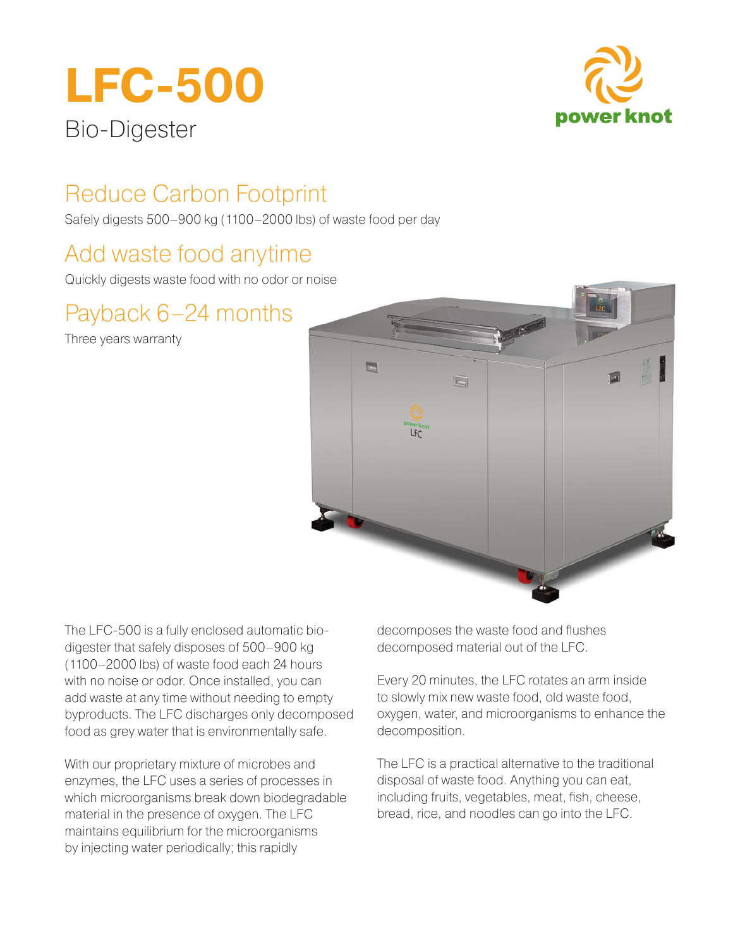# **LFC-500**



# Bio-Digester

# Reduce Carbon Footprint

Safely digests 500–900 kg (1100–2000 lbs) of waste food per day

# Add waste food anytime

Quickly digests waste food with no odor or noise

# Payback 6–24 months

Three years warranty



The LFC-500 is a fully enclosed automatic biodigester that safely disposes of 500–900 kg (1100–2000 lbs) of waste food each 24 hours with no noise or odor. Once installed, you can add waste at any time without needing to empty byproducts. The LFC discharges only decomposed food as grey water that is environmentally safe.

With our proprietary mixture of microbes and enzymes, the LFC uses a series of processes in which microorganisms break down biodegradable material in the presence of oxygen. The LFC maintains equilibrium for the microorganisms by injecting water periodically; this rapidly

decomposes the waste food and flushes decomposed material out of the LFC.

Every 20 minutes, the LFC rotates an arm inside to slowly mix new waste food, old waste food, oxygen, water, and microorganisms to enhance the decomposition.

The LFC is a practical alternative to the traditional disposal of waste food. Anything you can eat, including fruits, vegetables, meat, fish, cheese, bread, rice, and noodles can go into the LFC.